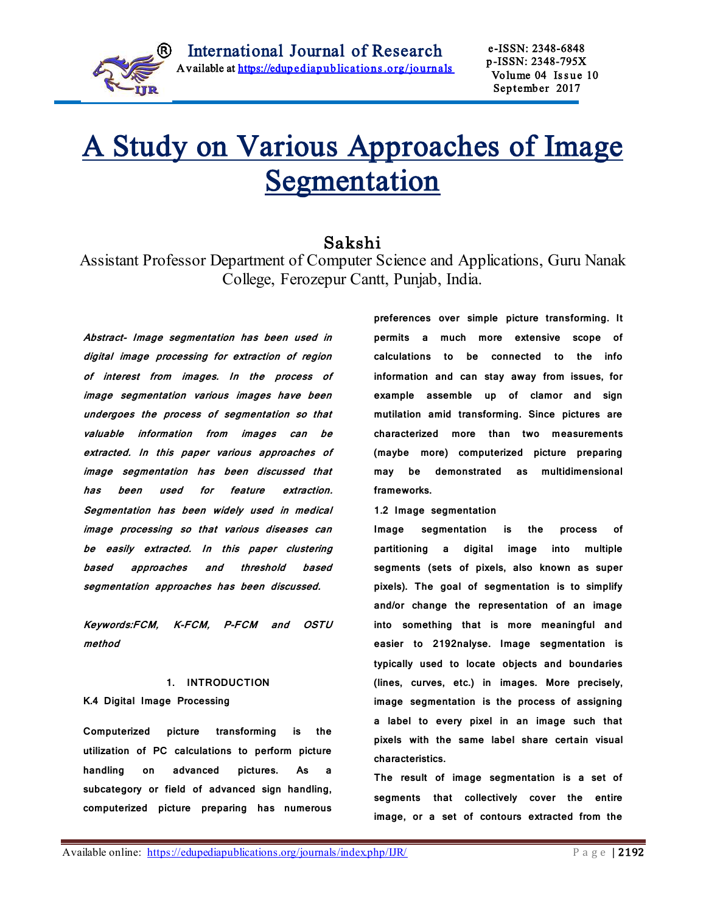

e-ISSN: 2348-6848 p-ISSN: 2348-795X Volume 04 Issue 10 September 2017

# A Study on Various Approaches of Image **Segmentation**

Ī

## Sakshi

Assistant Professor Department of Computer Science and Applications, Guru Nanak College, Ferozepur Cantt, Punjab, India.

Abstract- Image segmentation has been used in digital image processing for extraction of region of interest from images. In the process of image segmentation various images have been undergoes the process of segmentation so that valuable information from images can be extracted. In this paper various approaches of image segmentation has been discussed that has been used for feature extraction. Segmentation has been widely used in medical image processing so that various diseases can be easily extracted. In this paper clustering based approaches and threshold based segmentation approaches has been discussed.

Keywords:FCM, K-FCM, P-FCM and OSTU method

# 1. INTRODUCTION

K.4 Digital Image Processing

Computerized picture transforming is the utilization of PC calculations to perform picture handling on advanced pictures. As a subcategory or field of advanced sign handling, computerized picture preparing has numerous preferences over simple picture transforming. It permits a much more extensive scope of calculations to be connected to the info information and can stay away from issues, for example assemble up of clamor and sign mutilation amid transforming. Since pictures are characterized more than two measurements (maybe more) computerized picture preparing may be demonstrated as multidimensional frameworks.

1.2 Image segmentation

Image segmentation is the process of partitioning a digital image into multiple segments (sets of pixels, also known as super pixels). The goal of segmentation is to simplify and/or change the representation of an image into something that is more meaningful and easier to 2192nalyse. Image segmentation is typically used to locate objects and boundaries (lines, curves, etc.) in images. More precisely, image segmentation is the process of assigning a label to every pixel in an image such that pixels with the same label share certain visual characteristics.

The result of image segmentation is a set of segments that collectively cover the entire image, or a set of contours extracted from the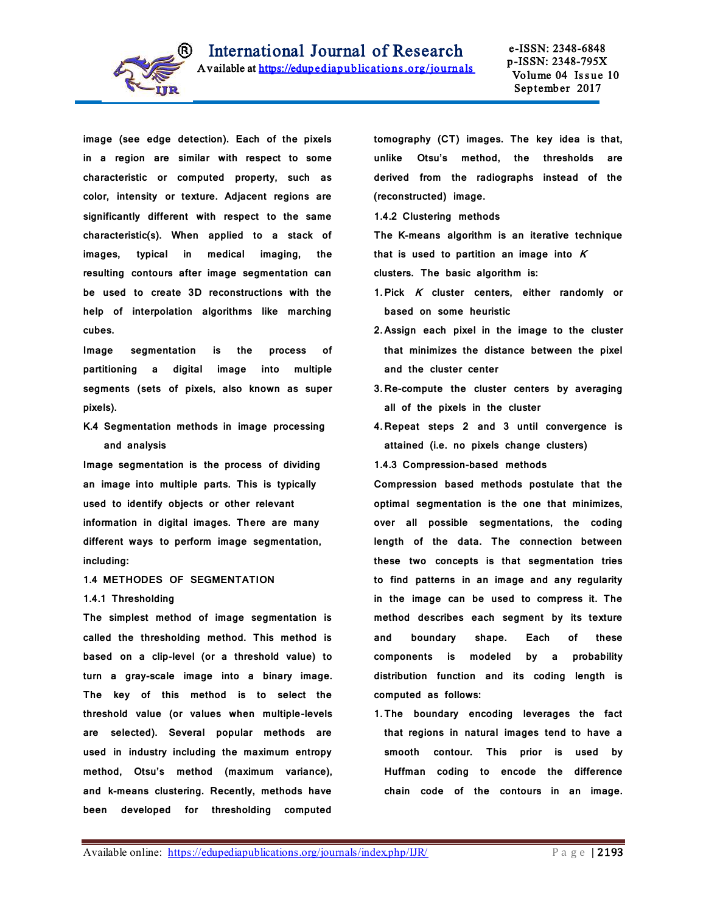

image (see edge detection). Each of the pixels in a region are similar with respect to some characteristic or computed property, such as color, intensity or texture. Adjacent regions are significantly different with respect to the same characteristic(s). When applied to a stack of images, typical in medical imaging, the resulting contours after image segmentation can be used to create 3D reconstructions with the help of interpolation algorithms like marching cubes.

Image segmentation is the process of partitioning a digital image into multiple segments (sets of pixels, also known as super pixels).

K.4 Segmentation methods in image processing and analysis

Image segmentation is the process of dividing an image into multiple parts. This is typically used to identify objects or other relevant information in digital images. There are many different ways to perform image segmentation, including:

## 1.4 METHODES OF SEGMENTATION

#### 1.4.1 Thresholding

The simplest method of image segmentation is called the thresholding method. This method is based on a clip-level (or a threshold value) to turn a gray-scale image into a binary image. The key of this method is to select the threshold value (or values when multiple-levels are selected). Several popular methods are used in industry including the maximum entropy method, Otsu's method (maximum variance), and k-means clustering. Recently, methods have been developed for thresholding computed

tomography (CT) images. The key idea is that, unlike Otsu's method, the thresholds are derived from the radiographs instead of the (reconstructed) image.

1.4.2 Clustering methods

The K-means algorithm is an iterative technique that is used to partition an image into  $K$ clusters. The basic algorithm is:

- 1. Pick  $K$  cluster centers, either randomly or based on some heuristic
- 2.Assign each pixel in the image to the cluster that minimizes the distance between the pixel and the cluster center
- 3.Re-compute the cluster centers by averaging all of the pixels in the cluster
- 4.Repeat steps 2 and 3 until convergence is attained (i.e. no pixels change clusters)
- 1.4.3 Compression-based methods

Compression based methods postulate that the optimal segmentation is the one that minimizes, over all possible segmentations, the coding length of the data. The connection between these two concepts is that segmentation tries to find patterns in an image and any regularity in the image can be used to compress it. The method describes each segment by its texture and boundary shape. Each of these components is modeled by a probability distribution function and its coding length is computed as follows:

1.The boundary encoding leverages the fact that regions in natural images tend to have a smooth contour. This prior is used by Huffman coding to encode the difference chain code of the contours in an image.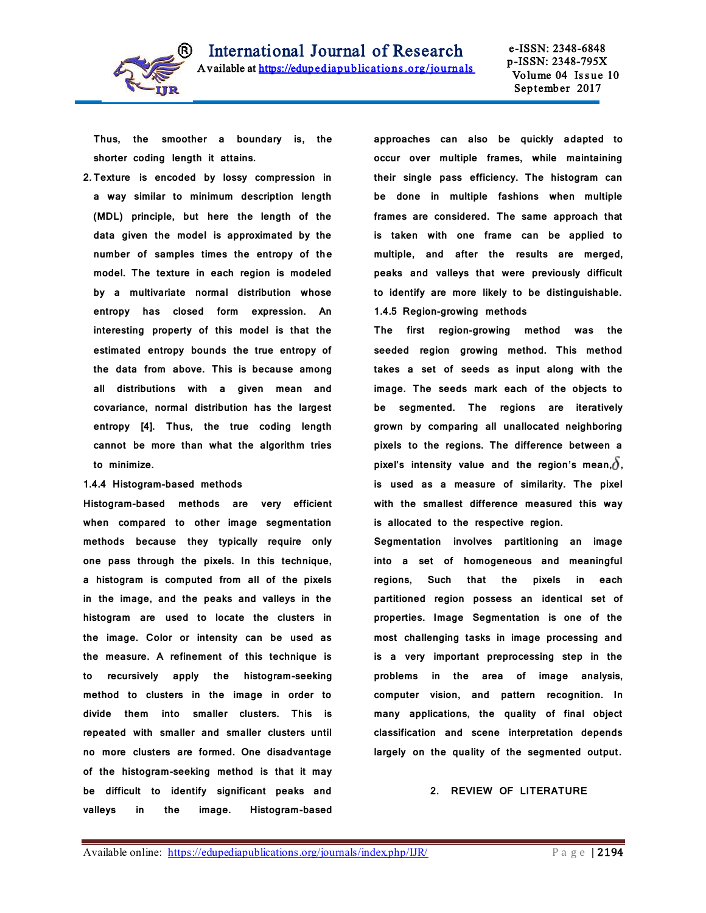

e-ISSN: 2348-6848 p-ISSN: 2348-795X Volume 04 Issue 10 September 2017

Thus, the smoother a boundary is, the shorter coding length it attains.

2.Texture is encoded by lossy compression in a way similar to minimum description length (MDL) principle, but here the length of the data given the model is approximated by the number of samples times the entropy of the model. The texture in each region is modeled by a multivariate normal distribution whose entropy has closed form expression. An interesting property of this model is that the estimated entropy bounds the true entropy of the data from above. This is because among all distributions with a given mean and covariance, normal distribution has the largest entropy [4]. Thus, the true coding length cannot be more than what the algorithm tries to minimize.

#### 1.4.4 Histogram-based methods

Histogram-based methods are very efficient when compared to other image segmentation methods because they typically require only one pass through the pixels. In this technique, a histogram is computed from all of the pixels in the image, and the peaks and valleys in the histogram are used to locate the clusters in the image. Color or intensity can be used as the measure. A refinement of this technique is to recursively apply the histogram-seeking method to clusters in the image in order to divide them into smaller clusters. This is repeated with smaller and smaller clusters until no more clusters are formed. One disadvantage of the histogram-seeking method is that it may be difficult to identify significant peaks and valleys in the image. Histogram-based

approaches can also be quickly adapted to occur over multiple frames, while maintaining their single pass efficiency. The histogram can be done in multiple fashions when multiple frames are considered. The same approach that is taken with one frame can be applied to multiple, and after the results are merged, peaks and valleys that were previously difficult to identify are more likely to be distinguishable. 1.4.5 Region-growing methods

The first region-growing method was the seeded region growing method. This method takes a set of seeds as input along with the image. The seeds mark each of the objects to be segmented. The regions are iteratively grown by comparing all unallocated neighboring pixels to the regions. The difference between a pixel's intensity value and the region's mean, $\hat{0}$ , is used as a measure of similarity. The pixel with the smallest difference measured this way is allocated to the respective region.

Segmentation involves partitioning an image into a set of homogeneous and meaningful regions, Such that the pixels in each partitioned region possess an identical set of properties. Image Segmentation is one of the most challenging tasks in image processing and is a very important preprocessing step in the problems in the area of image analysis, computer vision, and pattern recognition. In many applications, the quality of final object classification and scene interpretation depends largely on the quality of the segmented output.

#### 2. REVIEW OF LITERATURE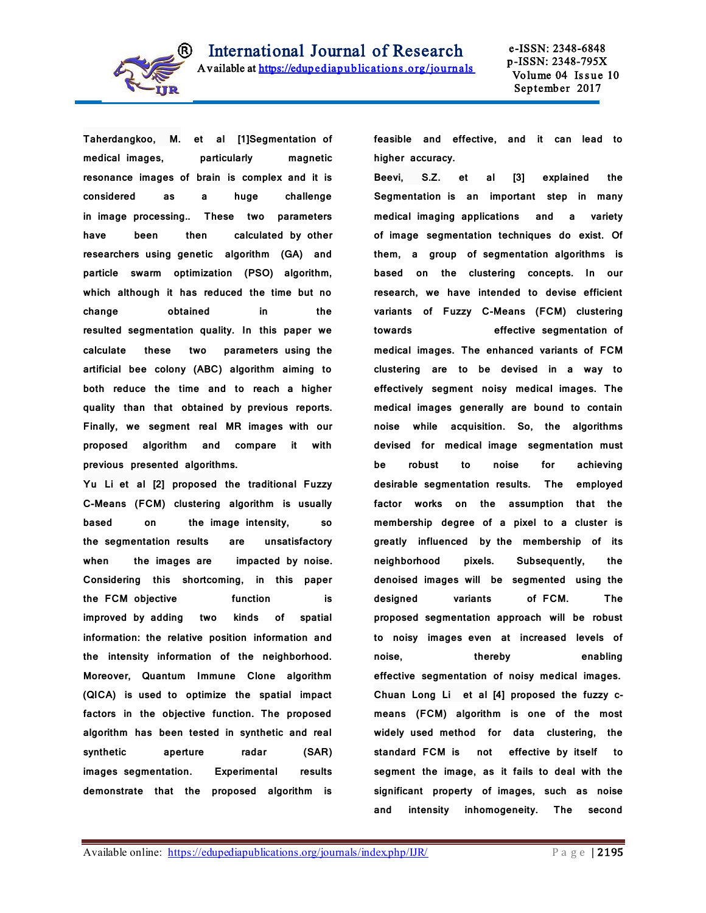

e-ISSN: 2348-6848 p-ISSN: 2348-795X Volume 04 Issue 10 September 2017

Taherdangkoo, M. et al [1]Segmentation of medical images, particularly magnetic resonance images of brain is complex and it is considered as a huge challenge in image processing.. These two parameters have been then calculated by other researchers using genetic algorithm (GA) and particle swarm optimization (PSO) algorithm, which although it has reduced the time but no change obtained in the resulted segmentation quality. In this paper we calculate these two parameters using the artificial bee colony (ABC) algorithm aiming to both reduce the time and to reach a higher quality than that obtained by previous reports. Finally, we segment real MR images with our proposed algorithm and compare it with previous presented algorithms.

Yu Li et al [2] proposed the traditional Fuzzy C-Means (FCM) clustering algorithm is usually based on the image intensity, so the segmentation results are unsatisfactory when the images are impacted by noise. Considering this shortcoming, in this paper the FCM objective function is improved by adding two kinds of spatial information: the relative position information and the intensity information of the neighborhood. Moreover, Quantum Immune Clone algorithm (QICA) is used to optimize the spatial impact factors in the objective function. The proposed algorithm has been tested in synthetic and real synthetic aperture radar (SAR) images segmentation. Experimental results demonstrate that the proposed algorithm is

feasible and effective, and it can lead to higher accuracy.

Beevi, S.Z. et al [3] explained the Segmentation is an important step in many medical imaging applications and a variety of image segmentation techniques do exist. Of them, a group of segmentation algorithms is based on the clustering concepts. In our research, we have intended to devise efficient variants of Fuzzy C-Means (FCM) clustering towards effective segmentation of medical images. The enhanced variants of FCM clustering are to be devised in a way to effectively segment noisy medical images. The medical images generally are bound to contain noise while acquisition. So, the algorithms devised for medical image segmentation must be robust to noise for achieving desirable segmentation results. The employed factor works on the assumption that the membership degree of a pixel to a cluster is greatly influenced by the membership of its neighborhood pixels. Subsequently, the denoised images will be segmented using the designed variants of FCM. The proposed segmentation approach will be robust to noisy images even at increased levels of noise, thereby enabling effective segmentation of noisy medical images. Chuan Long Li et al [4] proposed the fuzzy cmeans (FCM) algorithm is one of the most widely used method for data clustering, the standard FCM is not effective by itself to segment the image, as it fails to deal with the significant property of images, such as noise and intensity inhomogeneity. The second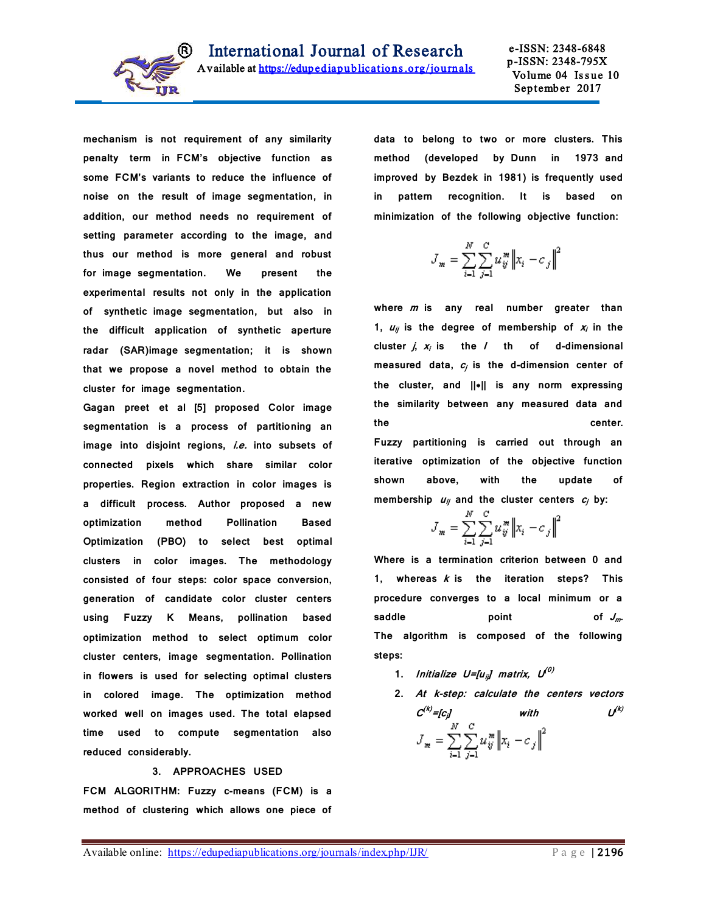

mechanism is not requirement of any similarity penalty term in FCM's objective function as some FCM's variants to reduce the influence of noise on the result of image segmentation, in addition, our method needs no requirement of setting parameter according to the image, and thus our method is more general and robust for image segmentation. We present the experimental results not only in the application of synthetic image segmentation, but also in the difficult application of synthetic aperture radar (SAR)image segmentation; it is shown that we propose a novel method to obtain the cluster for image segmentation.

Gagan preet et al [5] proposed Color image segmentation is a process of partitioning an image into disjoint regions, *i.e.* into subsets of connected pixels which share similar color properties. Region extraction in color images is a difficult process. Author proposed a new optimization method Pollination Based Optimization (PBO) to select best optimal clusters in color images. The methodology consisted of four steps: color space conversion, generation of candidate color cluster centers using Fuzzy K Means, pollination based optimization method to select optimum color cluster centers, image segmentation. Pollination in flowers is used for selecting optimal clusters in colored image. The optimization method worked well on images used. The total elapsed time used to compute segmentation also reduced considerably.

#### 3. APPROACHES USED

FCM ALGORITHM: Fuzzy c-means (FCM) is a method of clustering which allows one piece of data to belong to two or more clusters. This method (developed by Dunn in 1973 and improved by Bezdek in 1981) is frequently used in pattern recognition. It is based on minimization of the following objective function:

$$
\boldsymbol{J}_{\mathbf{m}}=\sum_{i=1}^{N}\sum_{j=1}^{C} \boldsymbol{u}_{ij}^{\mathbf{m}}\left\|\boldsymbol{x}_i-\boldsymbol{c}_j\right\|^2
$$

where  $m$  is any real number greater than 1,  $u_{ij}$  is the degree of membership of  $x_i$  in the cluster  $j, x_i$  is the / th of d-dimensional measured data,  $c_j$  is the d-dimension center of the cluster, and ||\*|| is any norm expressing the similarity between any measured data and the center. Fuzzy partitioning is carried out through an iterative optimization of the objective function shown above, with the update of membership  $u_{ij}$  and the cluster centers  $c_j$  by:

$$
U_m = \sum_{i=1}^{N} \sum_{j=1}^{C} u_{ij}^m ||x_i - c_j||^2
$$

Where is a termination criterion between 0 and 1, whereas  $k$  is the iteration steps? This procedure converges to a local minimum or a saddle point of  $J_m$ . The algorithm is composed of the following steps:

- 1. Initialize U=[u $_{ij}$ ] matrix,  $U^{(0)}$
- 2. At k-step: calculate the centers vectors  $C^{(k)}$ =[c $_{\acute{\mu}}$ ] with U  $U^{(k)}$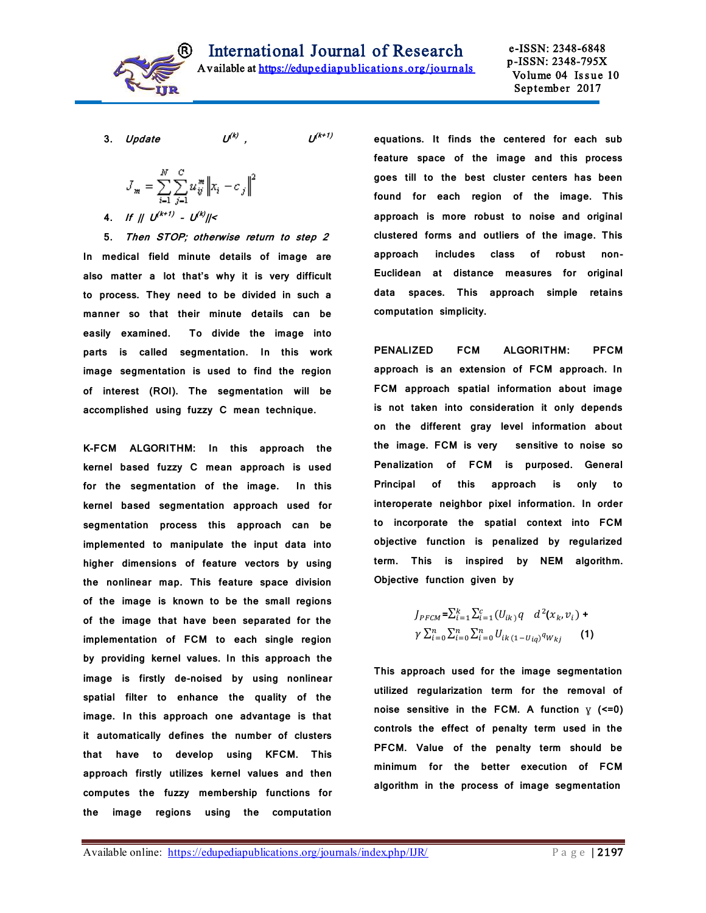

e-ISSN: 2348-6848 p-ISSN: 2348-795X Volume 04 Issue 10 September 2017

3. Update

, U  $U^{(k+1)}$ 

$$
J_{m} = \sum_{i=1}^{N} \sum_{j=1}^{C} u_{ij}^{m} \|x_{i} - c_{j}\|^{2}
$$
  
4. If  $||U^{(k+1)} - U^{(k)}|| <$ 

 $U^{(k)}$  .

5. Then STOP; otherwise return to step 2 In medical field minute details of image are also matter a lot that's why it is very difficult to process. They need to be divided in such a manner so that their minute details can be easily examined. To divide the image into parts is called segmentation. In this work image segmentation is used to find the region of interest (ROI). The segmentation will be accomplished using fuzzy C mean technique.

K-FCM ALGORITHM: In this approach the kernel based fuzzy C mean approach is used for the segmentation of the image. In this kernel based segmentation approach used for segmentation process this approach can be implemented to manipulate the input data into higher dimensions of feature vectors by using the nonlinear map. This feature space division of the image is known to be the small regions of the image that have been separated for the implementation of FCM to each single region by providing kernel values. In this approach the image is firstly de-noised by using nonlinear spatial filter to enhance the quality of the image. In this approach one advantage is that it automatically defines the number of clusters that have to develop using KFCM. This approach firstly utilizes kernel values and then computes the fuzzy membership functions for the image regions using the computation equations. It finds the centered for each sub feature space of the image and this process goes till to the best cluster centers has been found for each region of the image. This approach is more robust to noise and original clustered forms and outliers of the image. This approach includes class of robust non-Euclidean at distance measures for original data spaces. This approach simple retains computation simplicity.

PENALIZED FCM ALGORITHM: PFCM approach is an extension of FCM approach. In FCM approach spatial information about image is not taken into consideration it only depends on the different gray level information about the image. FCM is very sensitive to noise so Penalization of FCM is purposed. General Principal of this approach is only to interoperate neighbor pixel information. In order to incorporate the spatial context into FCM objective function is penalized by regularized term. This is inspired by NEM algorithm. Objective function given by

$$
J_{PFCM} = \sum_{i=1}^{k} \sum_{i=1}^{c} (U_{ik}) q d^{2}(x_{k}, v_{i}) +
$$
  

$$
\gamma \sum_{i=0}^{n} \sum_{i=0}^{n} \sum_{i=0}^{n} U_{ik} (1 - U_{iq})^{q} W_{kj}
$$
 (1)

This approach used for the image segmentation utilized regularization term for the removal of noise sensitive in the FCM. A function  $y$  (<=0) controls the effect of penalty term used in the PFCM. Value of the penalty term should be minimum for the better execution of FCM algorithm in the process of image segmentation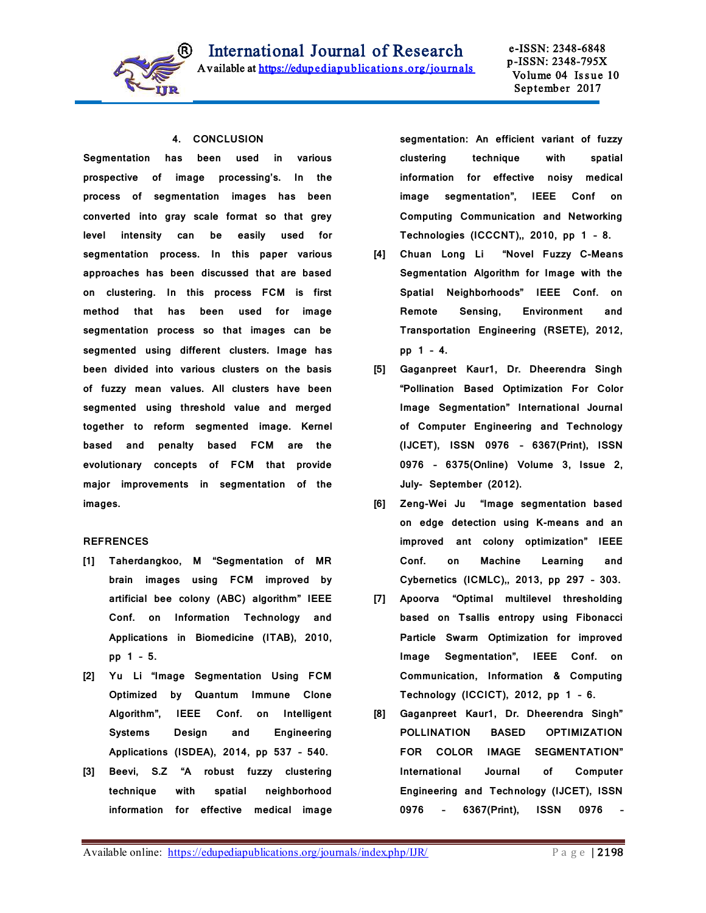

### 4. CONCLUSION

Segmentation has been used in various prospective of image processing's. In the process of segmentation images has been converted into gray scale format so that grey level intensity can be easily used for segmentation process. In this paper various approaches has been discussed that are based on clustering. In this process FCM is first method that has been used for image segmentation process so that images can be segmented using different clusters. Image has been divided into various clusters on the basis of fuzzy mean values. All clusters have been segmented using threshold value and merged together to reform segmented image. Kernel based and penalty based FCM are the evolutionary concepts of FCM that provide major improvements in segmentation of the images.

#### REFRENCES

- [1] Taherdangkoo, M "Segmentation of MR brain images using FCM improved by artificial bee colony (ABC) algorithm" IEEE Conf. on Information Technology and Applications in Biomedicine (ITAB), 2010, pp 1 – 5.
- [2] Yu Li "Image Segmentation Using FCM Optimized by Quantum Immune Clone Algorithm", IEEE Conf. on Intelligent Systems Design and Engineering Applications (ISDEA), 2014, pp 537 – 540.
- [3] Beevi, S.Z "A robust fuzzy clustering technique with spatial neighborhood information for effective medical image

segmentation: An efficient variant of fuzzy clustering technique with spatial information for effective noisy medical image segmentation", IEEE Conf on Computing Communication and Networking Technologies (ICCCNT),, 2010, pp 1 – 8.

- [4] Chuan Long Li "Novel Fuzzy C-Means Segmentation Algorithm for Image with the Spatial Neighborhoods" IEEE Conf. on Remote Sensing, Environment and Transportation Engineering (RSETE), 2012, pp 1 – 4.
- [5] Gaganpreet Kaur1, Dr. Dheerendra Singh "Pollination Based Optimization For Color Image Segmentation" International Journal of Computer Engineering and Technology (IJCET), ISSN 0976 – 6367(Print), ISSN 0976 – 6375(Online) Volume 3, Issue 2, July- September (2012).
- [6] Zeng-Wei Ju "Image segmentation based on edge detection using K-means and an improved ant colony optimization" IEEE Conf. on Machine Learning and Cybernetics (ICMLC),, 2013, pp 297 – 303.
- [7] Apoorva "Optimal multilevel thresholding based on Tsallis entropy using Fibonacci Particle Swarm Optimization for improved Image Segmentation", IEEE Conf. on Communication, Information & Computing Technology (ICCICT), 2012, pp 1 – 6.
- [8] Gaganpreet Kaur1, Dr. Dheerendra Singh" POLLINATION BASED OPTIMIZATION FOR COLOR IMAGE SEGMENTATION" International Journal of Computer Engineering and Technology (IJCET), ISSN 0976 – 6367(Print), ISSN 0976 –